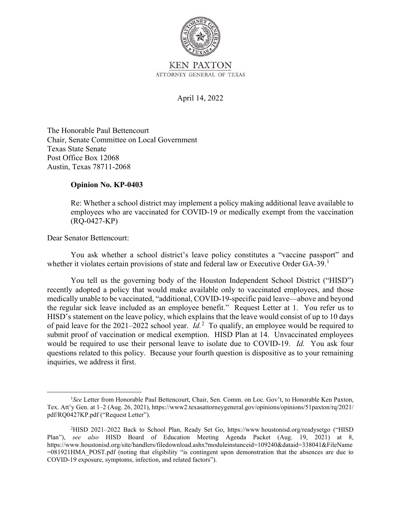

ATTORNEY GENERAL OF TEXAS

### April 14, 2022

The Honorable Paul Bettencourt Chair, Senate Committee on Local Government Texas State Senate Post Office Box 12068 Austin, Texas 78711-2068

#### **Opinion No. KP-0403**

Re: Whether a school district may implement a policy making additional leave available to employees who are vaccinated for COVID-19 or medically exempt from the vaccination (RQ-0427-KP)

Dear Senator Bettencourt:

You ask whether a school district's leave policy constitutes a "vaccine passport" and whether it violates certain provisions of state and federal law or Executive Order GA-39.<sup>1</sup>

 medically unable to be vaccinated, "additional, COVID-19-specific paid leave—above and beyond the regular sick leave included as an employee benefit." Request Letter at 1. You refer us to of paid leave for the 2021–2022 school year. *Id.*2 To qualify, an employee would be required to would be required to use their personal leave to isolate due to COVID-19. *Id.* You ask four You tell us the governing body of the Houston Independent School District ("HISD") recently adopted a policy that would make available only to vaccinated employees, and those HISD's statement on the leave policy, which explains that the leave would consist of up to 10 days submit proof of vaccination or medical exemption. HISD Plan at 14. Unvaccinated employees questions related to this policy. Because your fourth question is dispositive as to your remaining inquiries, we address it first.

<sup>&</sup>lt;sup>1</sup>See Letter from Honorable Paul Bettencourt, Chair, Sen. Comm. on Loc. Gov't, to Honorable Ken Paxton, Tex. Att'y Gen. at 1–2 (Aug. 26, 2021),<https://www2.texasattorneygeneral.gov/opinions/opinions/51paxton/rq/2021>/ pdf/RQ0427KP.pdf ("Request Letter").<br><sup>2</sup>HISD 2021–2022 Back to Se

 Plan"), *see also* HISD Board of Education Meeting Agenda Packet (Aug. 19, 2021) at 8, HISD 2021–2022 Back to School Plan, Ready Set Go, <https://www> [houstonisd.org/readysetgo](https://houstonisd.org/readysetgo) ("HISD <https://www.houstonisd.org/site/handlers/filedownload.ashx?moduleinstanceid=109240&dataid=338041&FileName> =081921HMA\_POST.pdf (noting that eligibility "is contingent upon demonstration that the absences are due to COVID-19 exposure, symptoms, infection, and related factors").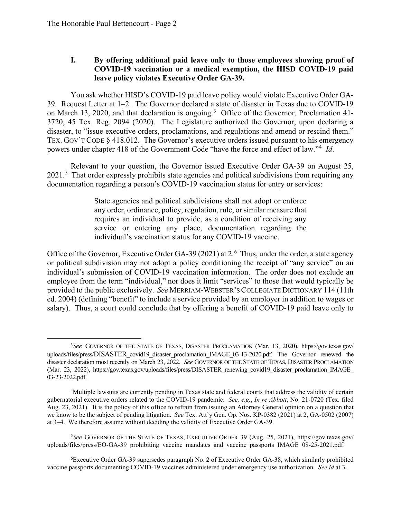## **I. By offering additional paid leave only to those employees showing proof of COVID-19 vaccination or a medical exemption, the HISD COVID-19 paid leave policy violates Executive Order GA-39.**

 You ask whether HISD's COVID-19 paid leave policy would violate Executive Order GA- 3720, 45 Tex. Reg. 2094 (2020). The Legislature authorized the Governor, upon declaring a disaster, to "issue executive orders, proclamations, and regulations and amend or rescind them." powers under chapter 418 of the Government Code "have the force and effect of law."<sup>4</sup>*Id*. 39. Request Letter at 1–2. The Governor declared a state of disaster in Texas due to COVID-19 on March 13, 2020, and that declaration is ongoing.<sup>3</sup> Office of the Governor, Proclamation 41-TEX. GOV'T CODE § 418.012. The Governor's executive orders issued pursuant to his emergency

Relevant to your question, the Governor issued Executive Order GA-39 on August 25, 2021.<sup>5</sup> That order expressly prohibits state agencies and political subdivisions from requiring any documentation regarding a person's COVID-19 vaccination status for entry or services:

> State agencies and political subdivisions shall not adopt or enforce any order, ordinance, policy, regulation, rule, or similar measure that requires an individual to provide, as a condition of receiving any service or entering any place, documentation regarding the individual's vaccination status for any COVID-19 vaccine.

Office of the Governor, Executive Order GA-39 (2021) at 2.<sup>6</sup> Thus, under the order, a state agency salary). Thus, a court could conclude that by offering a benefit of COVID-19 paid leave only to or political subdivision may not adopt a policy conditioning the receipt of "any service" on an individual's submission of COVID-19 vaccination information. The order does not exclude an employee from the term "individual," nor does it limit "services" to those that would typically be provided to the public exclusively. *See* MERRIAM-WEBSTER'S COLLEGIATE DICTIONARY 114 (11th ed. 2004) (defining "benefit" to include a service provided by an employer in addition to wages or

 3 *See* GOVERNOR OF THE STATE OF TEXAS, DISASTER PROCLAMATION (Mar. 13, 2020), <https://gov.texas.gov>/ uploads/files/press/DISASTER\_covid19\_disaster\_proclamation\_IMAGE\_03-13-2020.pdf. The Governor renewed the disaster declaration most recently on March 23, 2022. *See* GOVERNOR OF THE STATE OF TEXAS, DISASTER PROCLAMATION (Mar. 23, 2022), [https://gov.texas.gov/uploads/files/press/DISASTER\\_renewing\\_covid19\\_disaster\\_proclamation\\_IMAGE](https://gov.texas.gov/uploads/files/press/DISASTER_renewing_covid19_disaster_proclamation_IMAGE) 03-23-2022.pdf.

 gubernatorial executive orders related to the COVID-19 pandemic. *See, e.g.*, *In re Abbott*, No. 21-0720 (Tex. filed Aug. 23, 2021). It is the policy of this office to refrain from issuing an Attorney General opinion on a question that we know to be the subject of pending litigation. *See* Tex. Att'y Gen. Op. Nos. KP-0382 (2021) at 2, GA-0502 (2007) 4 Multiple lawsuits are currently pending in Texas state and federal courts that address the validity of certain at 3–4. We therefore assume without deciding the validity of Executive Order GA-39.

 5 *See* GOVERNOR OF THE STATE OF TEXAS, EXECUTIVE ORDER 39 (Aug. 25, 2021), <https://gov.texas.gov>/ uploads/files/press/EO-GA-39\_prohibiting\_vaccine\_mandates\_and\_vaccine\_passports\_IMAGE\_08-25-2021.pdf.

 vaccine passports documenting COVID-19 vaccines administered under emergency use authorization. *See id* at 3*.* 6 Executive Order GA-39 supersedes paragraph No. 2 of Executive Order GA-38, which similarly prohibited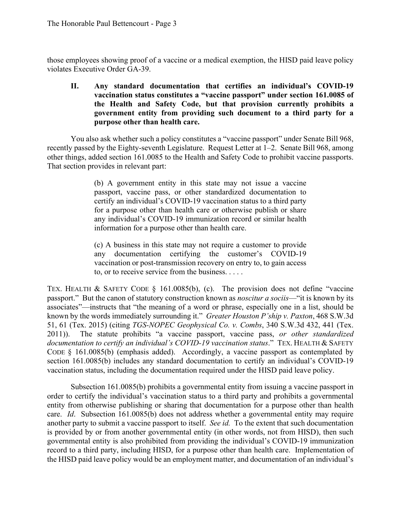those employees showing proof of a vaccine or a medical exemption, the HISD paid leave policy violates Executive Order GA-39.

**II. Any standard documentation that certifies an individual's COVID-19 vaccination status constitutes a "vaccine passport" under section 161.0085 of the Health and Safety Code, but that provision currently prohibits a government entity from providing such document to a third party for a purpose other than health care.** 

That section provides in relevant part: You also ask whether such a policy constitutes a "vaccine passport" under Senate Bill 968, recently passed by the Eighty-seventh Legislature. Request Letter at 1–2. Senate Bill 968, among other things, added section 161.0085 to the Health and Safety Code to prohibit vaccine passports.

> $(b)$  A government entity in this state may not issue a vaccine passport, vaccine pass, or other standardized documentation to certify an individual's COVID-19 vaccination status to a third party for a purpose other than health care or otherwise publish or share any individual's COVID-19 immunization record or similar health information for a purpose other than health care.

> (c) A business in this state may not require a customer to provide any documentation certifying the customer's COVID-19 vaccination or post-transmission recovery on entry to, to gain access to, or to receive service from the business. . . . .

 associates"—instructs that "the meaning of a word or phrase, especially one in a list, should be known by the words immediately surrounding it." *Greater Houston P'ship v. Paxton*, 468 S.W.3d  *documentation to certify an individual's COVID-19 vaccination status*." TEX. HEALTH & SAFETY vaccination status, including the documentation required under the HISD paid leave policy. TEX. HEALTH & SAFETY CODE § 161.0085(b), (c). The provision does not define "vaccine" passport." But the canon of statutory construction known as *noscitur a sociis*—"it is known by its 51, 61 (Tex. 2015) (citing *TGS-NOPEC Geophysical Co. v. Combs*, 340 S.W.3d 432, 441 (Tex. 2011)). The statute prohibits "a vaccine passport, vaccine pass, *or other standardized*  CODE § 161.0085(b) (emphasis added). Accordingly, a vaccine passport as contemplated by section 161.0085(b) includes any standard documentation to certify an individual's COVID-19

 Subsection 161.0085(b) prohibits a governmental entity from issuing a vaccine passport in order to certify the individual's vaccination status to a third party and prohibits a governmental another party to submit a vaccine passport to itself. *See id.* To the extent that such documentation entity from otherwise publishing or sharing that documentation for a purpose other than health care. *Id*. Subsection 161.0085(b) does not address whether a governmental entity may require is provided by or from another governmental entity (in other words, not from HISD), then such governmental entity is also prohibited from providing the individual's COVID-19 immunization record to a third party, including HISD, for a purpose other than health care. Implementation of the HISD paid leave policy would be an employment matter, and documentation of an individual's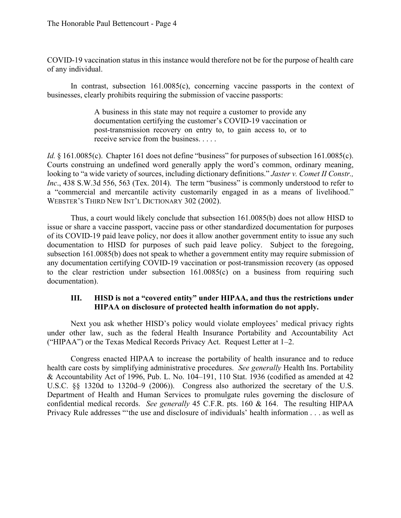COVID-19 vaccination status in this instance would therefore not be for the purpose of health care of any individual.

In contrast, subsection 161.0085(c), concerning vaccine passports in the context of businesses, clearly prohibits requiring the submission of vaccine passports:

> A business in this state may not require a customer to provide any documentation certifying the customer's COVID-19 vaccination or post-transmission recovery on entry to, to gain access to, or to receive service from the business. . . . .

*Id.*  $\frac{1}{2}$  161.0085(c). Chapter 161 does not define "business" for purposes of subsection 161.0085(c). a "commercial and mercantile activity customarily engaged in as a means of livelihood." WEBSTER'S THIRD NEW INT'L DICTIONARY 302 (2002). Courts construing an undefined word generally apply the word's common, ordinary meaning, looking to "a wide variety of sources, including dictionary definitions." *Jaster v. Comet II Constr., Inc.*, 438 S.W.3d 556, 563 (Tex. 2014). The term "business" is commonly understood to refer to

 Thus, a court would likely conclude that subsection 161.0085(b) does not allow HISD to issue or share a vaccine passport, vaccine pass or other standardized documentation for purposes of its COVID-19 paid leave policy, nor does it allow another government entity to issue any such documentation to HISD for purposes of such paid leave policy. Subject to the foregoing, subsection 161.0085(b) does not speak to whether a government entity may require submission of any documentation certifying COVID-19 vaccination or post-transmission recovery (as opposed to the clear restriction under subsection 161.0085(c) on a business from requiring such documentation).

## **III. HISD is not a "covered entity" under HIPAA, and thus the restrictions under HIPAA on disclosure of protected health information do not apply.**

 Next you ask whether HISD's policy would violate employees' medical privacy rights under other law, such as the federal Health Insurance Portability and Accountability Act ("HIPAA") or the Texas Medical Records Privacy Act. Request Letter at 1–2.

 health care costs by simplifying administrative procedures. *See generally* Health Ins. Portability U.S.C. §§ 1320d to 1320d–9 (2006)). Congress also authorized the secretary of the U.S.  confidential medical records. *See generally* 45 C.F.R. pts. 160 & 164. The resulting HIPAA Privacy Rule addresses "'the use and disclosure of individuals' health information . . . as well as Congress enacted HIPAA to increase the portability of health insurance and to reduce & Accountability Act of 1996, Pub. L. No. 104–191, 110 Stat. 1936 (codified as amended at 42 Department of Health and Human Services to promulgate rules governing the disclosure of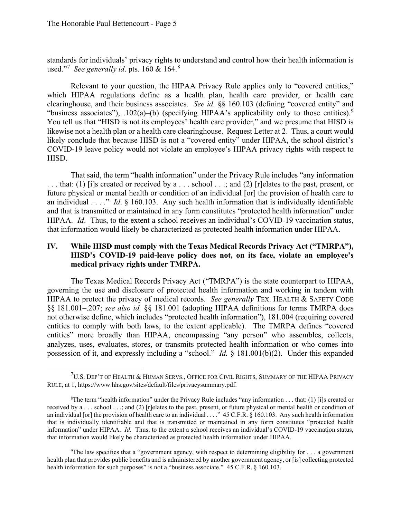used."<sup>7</sup>*See generally id*. pts. 160 & 164.<sup>8</sup> standards for individuals' privacy rights to understand and control how their health information is

"business associates"),  $.102(a)$ -(b) (specifying HIPAA's applicability only to those entities).<sup>9</sup> You tell us that "HISD is not its employees' health care provider," and we presume that HISD is Relevant to your question, the HIPAA Privacy Rule applies only to "covered entities," which HIPAA regulations define as a health plan, health care provider, or health care clearinghouse, and their business associates. *See id.* §§ 160.103 (defining "covered entity" and likewise not a health plan or a health care clearinghouse. Request Letter at 2. Thus, a court would likely conclude that because HISD is not a "covered entity" under HIPAA, the school district's COVID-19 leave policy would not violate an employee's HIPAA privacy rights with respect to HISD.

 That said, the term "health information" under the Privacy Rule includes "any information an individual . . . ." *Id*. § 160.103. Any such health information that is individually identifiable HIPAA. *Id*. Thus, to the extent a school receives an individual's COVID-19 vaccination status, . . . that: (1) [i]s created or received by a . . . school . . .; and (2) [r]elates to the past, present, or future physical or mental health or condition of an individual [or] the provision of health care to and that is transmitted or maintained in any form constitutes "protected health information" under that information would likely be characterized as protected health information under HIPAA.

# **IV. While HISD must comply with the Texas Medical Records Privacy Act ("TMRPA"), HISD's COVID-19 paid-leave policy does not, on its face, violate an employee's medical privacy rights under TMRPA.**

 entities to comply with both laws, to the extent applicable). The TMRPA defines "covered possession of it, and expressly including a "school." *Id.* § 181.001(b)(2). Under this expanded The Texas Medical Records Privacy Act ("TMRPA") is the state counterpart to HIPAA, governing the use and disclosure of protected health information and working in tandem with HIPAA to protect the privacy of medical records. *See generally* TEX. HEALTH & SAFETY CODE §§ 181.001–.207; *see also id.* §§ 181.001 (adopting HIPAA definitions for terms TMRPA does not otherwise define, which includes "protected health information"), 181.004 (requiring covered entities" more broadly than HIPAA, encompassing "any person" who assembles, collects, analyzes, uses, evaluates, stores, or transmits protected health information or who comes into

 ${\rm ^7U.S.}$  Dep't of Health & Human Servs., Office for Civil Rights, Summary of the HIPAA Privacy RULE, at 1,<https://www.hhs.gov/sites/default/files/privacysummary.pdf>.<br><sup>8</sup>The term "health information" under the Privacy Rule includes

 received by a . . . school . . .; and (2) [r]elates to the past, present, or future physical or mental health or condition of information" under HIPAA. *Id.* Thus, to the extent a school receives an individual's COVID-19 vaccination status, <sup>8</sup>The term "health information" under the Privacy Rule includes "any information . . . that: (1) [i]s created or an individual [or] the provision of health care to an individual . . . ." 45 C.F.R. § 160.103. Any such health information that is individually identifiable and that is transmitted or maintained in any form constitutes "protected health that information would likely be characterized as protected health information under HIPAA.

<sup>9</sup> The law specifies that a "government agency, with respect to determining eligibility for . . . a government health plan that provides public benefits and is administered by another government agency, or [is] collecting protected health information for such purposes" is not a "business associate." 45 C.F.R. § 160.103.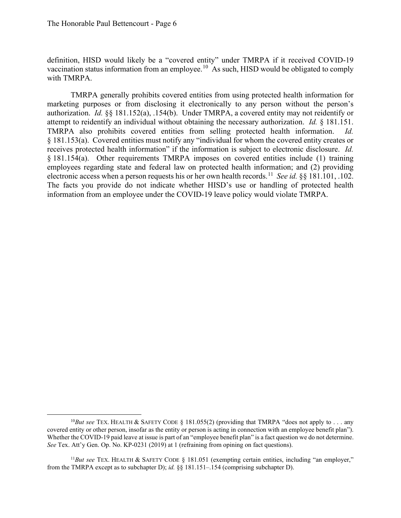with TMRPA. definition, HISD would likely be a "covered entity" under TMRPA if it received COVID-19 vaccination status information from an [employee.](https://employee.10)<sup>10</sup> As such, HISD would be obligated to comply

 authorization. *Id.* §§ 181.152(a), .154(b). Under TMRPA, a covered entity may not reidentify or attempt to reidentify an individual without obtaining the necessary authorization. *Id.* § 181.151. § 181.153(a). Covered entities must notify any "individual for whom the covered entity creates or receives protected health information" if the information is subject to electronic disclosure. *Id.*  employees regarding state and federal law on protected health information; and (2) providing electronic access when a person requests his or her own health [records.](https://records.11)<sup>11</sup> See id. §§ 181.101, .102. TMRPA generally prohibits covered entities from using protected health information for marketing purposes or from disclosing it electronically to any person without the person's TMRPA also prohibits covered entities from selling protected health information. *Id.*  § 181.154(a). Other requirements TMRPA imposes on covered entities include (1) training The facts you provide do not indicate whether HISD's use or handling of protected health information from an employee under the COVID-19 leave policy would violate TMRPA.

 <sup>10</sup>*But see* TEX. HEALTH & SAFETY CODE § 181.055(2) (providing that TMRPA "does not apply to . . . any covered entity or other person, insofar as the entity or person is acting in connection with an employee benefit plan"). Whether the COVID-19 paid leave at issue is part of an "employee benefit plan" is a fact question we do not determine. *See* Tex. Att'y Gen. Op. No. KP-0231 (2019) at 1 (refraining from opining on fact questions).

<sup>&</sup>lt;sup>11</sup>But see TEX. HEALTH & SAFETY CODE § 181.051 (exempting certain entities, including "an employer," from the TMRPA except as to subchapter D); *id.* §§ 181.151–.154 (comprising subchapter D).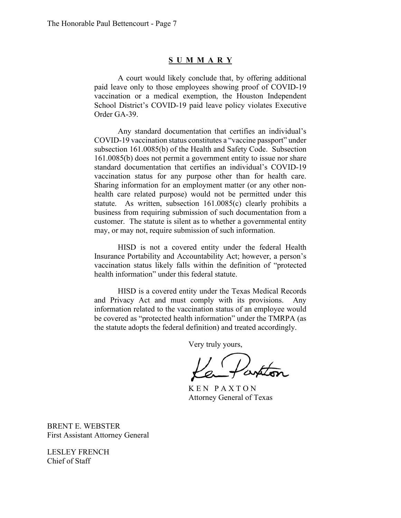#### **S UMMAR Y**

 School District's COVID-19 paid leave policy violates Executive A court would likely conclude that, by offering additional paid leave only to those employees showing proof of COVID-19 vaccination or a medical exemption, the Houston Independent Order GA-39.

 COVID-19 vaccination status constitutes a "vaccine passport" under customer. The statute is silent as to whether a governmental entity Any standard documentation that certifies an individual's subsection 161.0085(b) of the Health and Safety Code. Subsection 161.0085(b) does not permit a government entity to issue nor share standard documentation that certifies an individual's COVID-19 vaccination status for any purpose other than for health care. Sharing information for an employment matter (or any other nonhealth care related purpose) would not be permitted under this statute. As written, subsection 161.0085(c) clearly prohibits a business from requiring submission of such documentation from a may, or may not, require submission of such information.

HISD is not a covered entity under the federal Health Insurance Portability and Accountability Act; however, a person's vaccination status likely falls within the definition of "protected health information" under this federal statute.

HISD is a covered entity under the Texas Medical Records and Privacy Act and must comply with its provisions. Any information related to the vaccination status of an employee would be covered as "protected health information" under the TMRPA (as the statute adopts the federal definition) and treated accordingly.

Very truly yours,

K E N P A X T O N Attorney General of Texas

BRENT E. WEBSTER First Assistant Attorney General

LESLEY FRENCH Chief of Staff